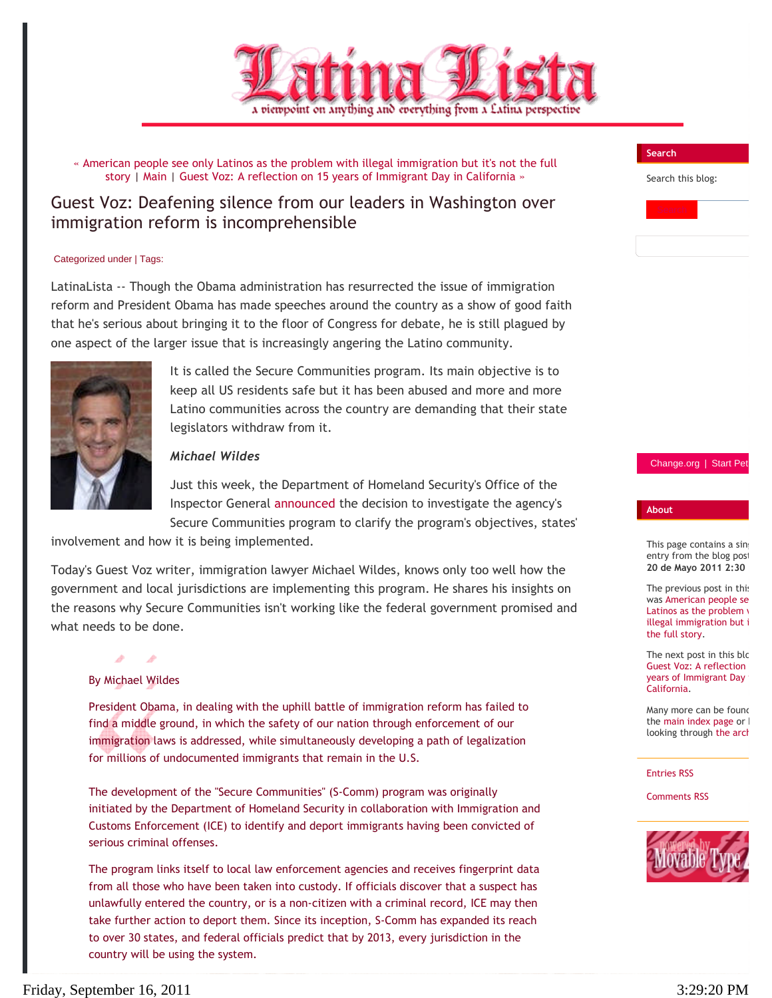

« American people see only Latinos as the problem with illegal immigration but it's not the full story | Main | Guest Voz: A reflection on 15 years of Immigrant Day in California »

# Guest Voz: Deafening silence from our leaders in Washington over immigration reform is incomprehensible

### Categorized under | Tags:

LatinaLista -- Though the Obama administration has resurrected the issue of immigration reform and President Obama has made speeches around the country as a show of good faith that he's serious about bringing it to the floor of Congress for debate, he is still plagued by one aspect of the larger issue that is increasingly angering the Latino community.



It is called the Secure Communities program. Its main objective is to keep all US residents safe but it has been abused and more and more Latino communities across the country are demanding that their state legislators withdraw from it.

## *Michael Wildes*

Just this week, the Department of Homeland Security's Office of the Inspector General announced the decision to investigate the agency's Secure Communities program to clarify the program's objectives, states'

involvement and how it is being implemented.

Today's Guest Voz writer, immigration lawyer Michael Wildes, knows only too well how the government and local jurisdictions are implementing this program. He shares his insights on the reasons why Secure Communities isn't working like the federal government promised and what needs to be done.

### By Michael Wildes

all<sup>a</sup>

President Obama, in dealing with the uphill battle of immigration reform has failed to find a middle ground, in which the safety of our nation through enforcement of our immigration laws is addressed, while simultaneously developing a path of legalization for millions of undocumented immigrants that remain in the U.S.

The development of the "Secure Communities" (S-Comm) program was originally initiated by the Department of Homeland Security in collaboration with Immigration and Customs Enforcement (ICE) to identify and deport immigrants having been convicted of serious criminal offenses.

The program links itself to local law enforcement agencies and receives fingerprint data from all those who have been taken into custody. If officials discover that a suspect has unlawfully entered the country, or is a non-citizen with a criminal record, ICE may then take further action to deport them. Since its inception, S-Comm has expanded its reach to over 30 states, and federal officials predict that by 2013, every jurisdiction in the country will be using the system.

# Friday, September 16, 2011 3:29:20 PM

### **Search**

Search this blog:



### Change.org | Start Pe

### **About**

This page contains a sing entry from the blog post **20 de Mayo 2011 2:30** 

The previous post in this was American people se Latinos as the problem  $\sqrt{ }$ illegal immigration but i the full story.

The next post in this blo Guest Voz: A reflection years of Immigrant Day California.

Many more can be found the main index page or looking through the arch

#### Entries RSS

Comments RSS

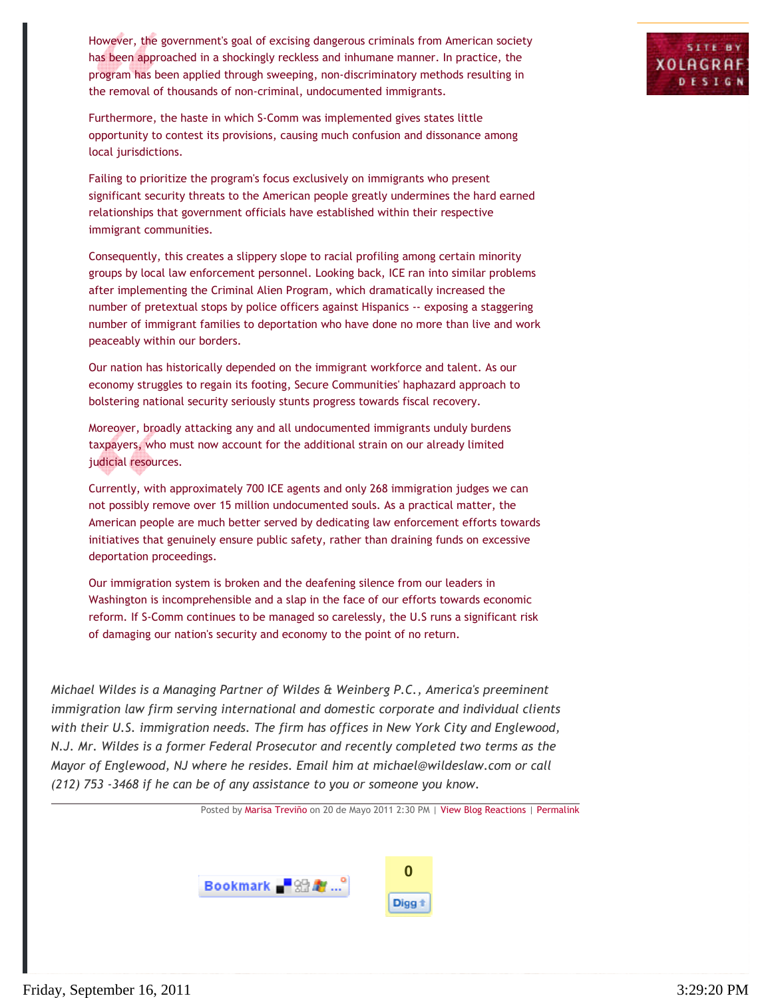However, the government's goal of excising dangerous criminals from American society has been approached in a shockingly reckless and inhumane manner. In practice, the program has been applied through sweeping, non-discriminatory methods resulting in the removal of thousands of non-criminal, undocumented immigrants.

Furthermore, the haste in which S-Comm was implemented gives states little opportunity to contest its provisions, causing much confusion and dissonance among local jurisdictions.

Failing to prioritize the program's focus exclusively on immigrants who present significant security threats to the American people greatly undermines the hard earned relationships that government officials have established within their respective immigrant communities.

Consequently, this creates a slippery slope to racial profiling among certain minority groups by local law enforcement personnel. Looking back, ICE ran into similar problems after implementing the Criminal Alien Program, which dramatically increased the number of pretextual stops by police officers against Hispanics -- exposing a staggering number of immigrant families to deportation who have done no more than live and work peaceably within our borders.

Our nation has historically depended on the immigrant workforce and talent. As our economy struggles to regain its footing, Secure Communities' haphazard approach to bolstering national security seriously stunts progress towards fiscal recovery.

Moreover, broadly attacking any and all undocumented immigrants unduly burdens taxpayers, who must now account for the additional strain on our already limited judicial resources.

Currently, with approximately 700 ICE agents and only 268 immigration judges we can not possibly remove over 15 million undocumented souls. As a practical matter, the American people are much better served by dedicating law enforcement efforts towards initiatives that genuinely ensure public safety, rather than draining funds on excessive deportation proceedings.

Our immigration system is broken and the deafening silence from our leaders in Washington is incomprehensible and a slap in the face of our efforts towards economic reform. If S-Comm continues to be managed so carelessly, the U.S runs a significant risk of damaging our nation's security and economy to the point of no return.

*Michael Wildes is a Managing Partner of Wildes & Weinberg P.C., America's preeminent immigration law firm serving international and domestic corporate and individual clients with their U.S. immigration needs. The firm has offices in New York City and Englewood, N.J. Mr. Wildes is a former Federal Prosecutor and recently completed two terms as the Mayor of Englewood, NJ where he resides. Email him at michael@wildeslaw.com or call (212) 753 -3468 if he can be of any assistance to you or someone you know.*

Posted by Marisa Treviño on 20 de Mayo 2011 2:30 PM | View Blog Reactions | Permalink



**SITE BY** 

**XOLAGRA** DESIG